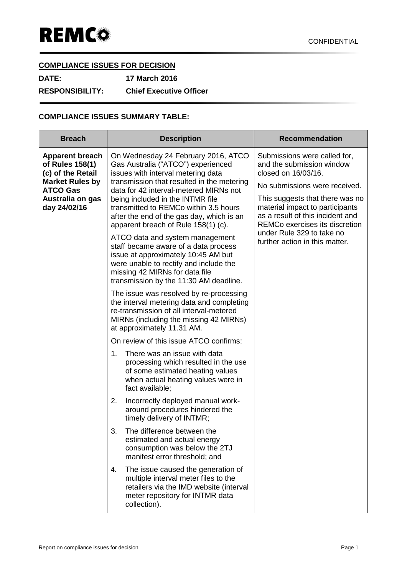## **COMPLIANCE ISSUES FOR DECISION**

**DATE: 17 March 2016 RESPONSIBILITY: Chief Executive Officer**

## **COMPLIANCE ISSUES SUMMARY TABLE:**

| <b>Breach</b>                                                                                                                                   | <b>Description</b>                                                                                                                                                                                                                                                                                                                                                                                                                                                                                                                                                                                                                                                                                                                                                                                                                                                                                                                                                                                                                                                                                                                                                                                                                                                                              | <b>Recommendation</b>                                                                                                                                                                                                                                                                                                               |
|-------------------------------------------------------------------------------------------------------------------------------------------------|-------------------------------------------------------------------------------------------------------------------------------------------------------------------------------------------------------------------------------------------------------------------------------------------------------------------------------------------------------------------------------------------------------------------------------------------------------------------------------------------------------------------------------------------------------------------------------------------------------------------------------------------------------------------------------------------------------------------------------------------------------------------------------------------------------------------------------------------------------------------------------------------------------------------------------------------------------------------------------------------------------------------------------------------------------------------------------------------------------------------------------------------------------------------------------------------------------------------------------------------------------------------------------------------------|-------------------------------------------------------------------------------------------------------------------------------------------------------------------------------------------------------------------------------------------------------------------------------------------------------------------------------------|
| <b>Apparent breach</b><br>of Rules 158(1)<br>(c) of the Retail<br><b>Market Rules by</b><br><b>ATCO Gas</b><br>Australia on gas<br>day 24/02/16 | On Wednesday 24 February 2016, ATCO<br>Gas Australia ("ATCO") experienced<br>issues with interval metering data<br>transmission that resulted in the metering<br>data for 42 interval-metered MIRNs not<br>being included in the INTMR file<br>transmitted to REMCo within 3.5 hours<br>after the end of the gas day, which is an<br>apparent breach of Rule 158(1) (c).<br>ATCO data and system management<br>staff became aware of a data process<br>issue at approximately 10:45 AM but<br>were unable to rectify and include the<br>missing 42 MIRNs for data file<br>transmission by the 11:30 AM deadline.<br>The issue was resolved by re-processing<br>the interval metering data and completing<br>re-transmission of all interval-metered<br>MIRNs (including the missing 42 MIRNs)<br>at approximately 11.31 AM.<br>On review of this issue ATCO confirms:<br>There was an issue with data<br>1.<br>processing which resulted in the use<br>of some estimated heating values<br>when actual heating values were in<br>fact available;<br>Incorrectly deployed manual work-<br>2.<br>around procedures hindered the<br>timely delivery of INTMR;<br>The difference between the<br>3.<br>estimated and actual energy<br>consumption was below the 2TJ<br>manifest error threshold; and | Submissions were called for,<br>and the submission window<br>closed on 16/03/16.<br>No submissions were received.<br>This suggests that there was no<br>material impact to participants<br>as a result of this incident and<br><b>REMCo exercises its discretion</b><br>under Rule 329 to take no<br>further action in this matter. |
|                                                                                                                                                 | The issue caused the generation of<br>4.<br>multiple interval meter files to the<br>retailers via the IMD website (interval<br>meter repository for INTMR data<br>collection).                                                                                                                                                                                                                                                                                                                                                                                                                                                                                                                                                                                                                                                                                                                                                                                                                                                                                                                                                                                                                                                                                                                  |                                                                                                                                                                                                                                                                                                                                     |